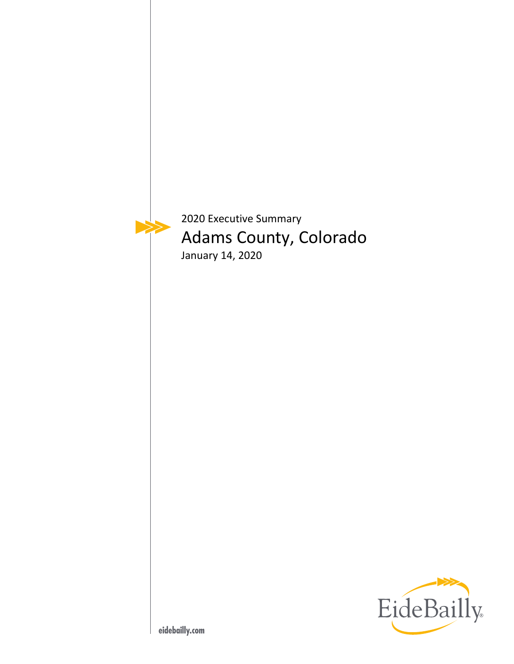

2020 Executive Summary Adams County, Colorado January 14, 2020

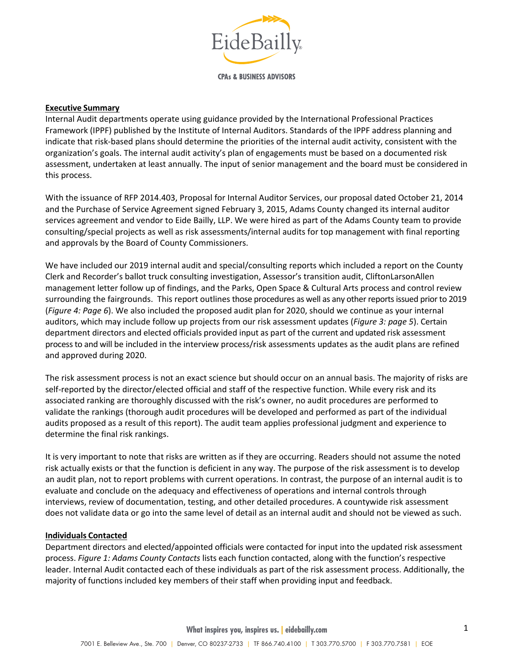

**CPAs & BUSINESS ADVISORS** 

#### **Executive Summary**

Internal Audit departments operate using guidance provided by the International Professional Practices Framework (IPPF) published by the Institute of Internal Auditors. Standards of the IPPF address planning and indicate that risk‐based plans should determine the priorities of the internal audit activity, consistent with the organization's goals. The internal audit activity's plan of engagements must be based on a documented risk assessment, undertaken at least annually. The input of senior management and the board must be considered in this process.

With the issuance of RFP 2014.403, Proposal for Internal Auditor Services, our proposal dated October 21, 2014 and the Purchase of Service Agreement signed February 3, 2015, Adams County changed its internal auditor services agreement and vendor to Eide Bailly, LLP. We were hired as part of the Adams County team to provide consulting/special projects as well as risk assessments/internal audits for top management with final reporting and approvals by the Board of County Commissioners.

We have included our 2019 internal audit and special/consulting reports which included a report on the County Clerk and Recorder's ballot truck consulting investigation, Assessor's transition audit, CliftonLarsonAllen management letter follow up of findings, and the Parks, Open Space & Cultural Arts process and control review surrounding the fairgrounds. This report outlines those procedures as well as any other reports issued prior to 2019 (*Figure 4: Page 6*). We also included the proposed audit plan for 2020, should we continue as your internal auditors, which may include follow up projects from our risk assessment updates (*Figure 3: page 5*). Certain department directors and elected officials provided input as part of the current and updated risk assessment process to and will be included in the interview process/risk assessments updates as the audit plans are refined and approved during 2020.

The risk assessment process is not an exact science but should occur on an annual basis. The majority of risks are self-reported by the director/elected official and staff of the respective function. While every risk and its associated ranking are thoroughly discussed with the risk's owner, no audit procedures are performed to validate the rankings (thorough audit procedures will be developed and performed as part of the individual audits proposed as a result of this report). The audit team applies professional judgment and experience to determine the final risk rankings.

It is very important to note that risks are written as if they are occurring. Readers should not assume the noted risk actually exists or that the function is deficient in any way. The purpose of the risk assessment is to develop an audit plan, not to report problems with current operations. In contrast, the purpose of an internal audit is to evaluate and conclude on the adequacy and effectiveness of operations and internal controls through interviews, review of documentation, testing, and other detailed procedures. A countywide risk assessment does not validate data or go into the same level of detail as an internal audit and should not be viewed as such.

### **Individuals Contacted**

Department directors and elected/appointed officials were contacted for input into the updated risk assessment process. *Figure 1: Adams County Contacts* lists each function contacted, along with the function's respective leader. Internal Audit contacted each of these individuals as part of the risk assessment process. Additionally, the majority of functions included key members of their staff when providing input and feedback.

**What inspires you, inspires us. | eidebailly.com**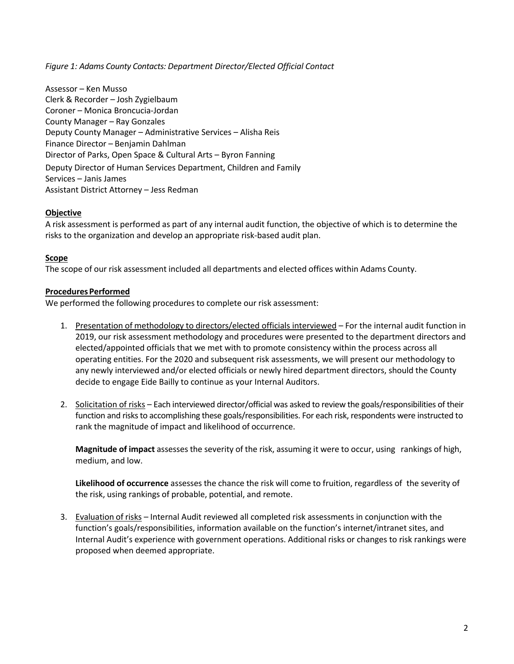*Figure 1: Adams County Contacts: Department Director/Elected Official Contact* 

Assessor – Ken Musso Clerk & Recorder – Josh Zygielbaum Coroner – Monica Broncucia‐Jordan County Manager – Ray Gonzales Deputy County Manager – Administrative Services – Alisha Reis Finance Director – Benjamin Dahlman Director of Parks, Open Space & Cultural Arts – Byron Fanning Deputy Director of Human Services Department, Children and Family Services – Janis James Assistant District Attorney – Jess Redman

## **Objective**

A risk assessment is performed as part of any internal audit function, the objective of which is to determine the risks to the organization and develop an appropriate risk‐based audit plan.

# **Scope**

The scope of our risk assessment included all departments and elected offices within Adams County.

## **Procedures Performed**

We performed the following procedures to complete our risk assessment:

- 1. Presentation of methodology to directors/elected officials interviewed For the internal audit function in 2019, our risk assessment methodology and procedures were presented to the department directors and elected/appointed officials that we met with to promote consistency within the process across all operating entities. For the 2020 and subsequent risk assessments, we will present our methodology to any newly interviewed and/or elected officials or newly hired department directors, should the County decide to engage Eide Bailly to continue as your Internal Auditors.
- 2. Solicitation of risks Each interviewed director/official was asked to review the goals/responsibilities of their function and risks to accomplishing these goals/responsibilities. For each risk, respondents were instructed to rank the magnitude of impact and likelihood of occurrence.

**Magnitude of impact** assesses the severity of the risk, assuming it were to occur, using rankings of high, medium, and low.

**Likelihood of occurrence** assesses the chance the risk will come to fruition, regardless of the severity of the risk, using rankings of probable, potential, and remote.

3. Evaluation of risks – Internal Audit reviewed all completed risk assessments in conjunction with the function's goals/responsibilities, information available on the function's internet/intranet sites, and Internal Audit's experience with government operations. Additional risks or changes to risk rankings were proposed when deemed appropriate.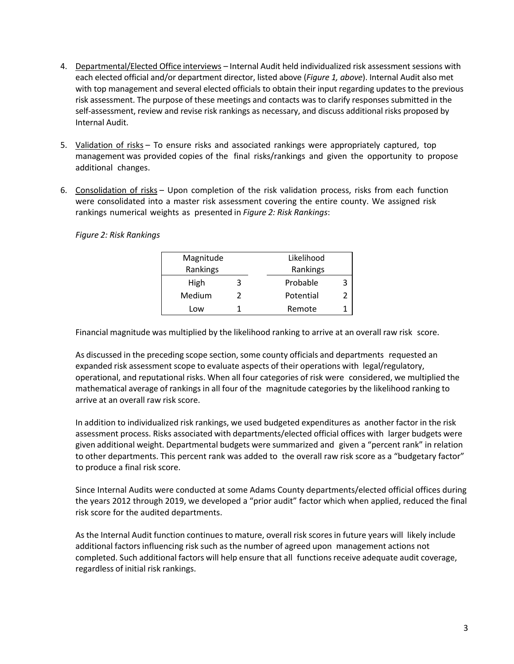- 4. Departmental/Elected Office interviews Internal Audit held individualized risk assessment sessions with each elected official and/or department director, listed above (*Figure 1, above*). Internal Audit also met with top management and several elected officials to obtain their input regarding updates to the previous risk assessment. The purpose of these meetings and contacts was to clarify responses submitted in the self-assessment, review and revise risk rankings as necessary, and discuss additional risks proposed by Internal Audit.
- 5. Validation of risks To ensure risks and associated rankings were appropriately captured, top management was provided copies of the final risks/rankings and given the opportunity to propose additional changes.
- 6. Consolidation of risks Upon completion of the risk validation process, risks from each function were consolidated into a master risk assessment covering the entire county. We assigned risk rankings numerical weights as presented in *Figure 2: Risk Rankings*:

|  |  |  | Figure 2: Risk Rankings |
|--|--|--|-------------------------|
|--|--|--|-------------------------|

| Magnitude |   | Likelihood     |
|-----------|---|----------------|
| Rankings  |   | Rankings       |
| High      |   | Probable       |
| Medium    | 2 | Potential<br>2 |
| Low       |   | Remote         |

Financial magnitude was multiplied by the likelihood ranking to arrive at an overall raw risk score.

As discussed in the preceding scope section, some county officials and departments requested an expanded risk assessment scope to evaluate aspects of their operations with legal/regulatory, operational, and reputational risks. When all four categories of risk were considered, we multiplied the mathematical average of rankings in all four of the magnitude categories by the likelihood ranking to arrive at an overall raw risk score.

In addition to individualized risk rankings, we used budgeted expenditures as another factor in the risk assessment process. Risks associated with departments/elected official offices with larger budgets were given additional weight. Departmental budgets were summarized and given a "percent rank" in relation to other departments. This percent rank was added to the overall raw risk score as a "budgetary factor" to produce a final risk score.

Since Internal Audits were conducted at some Adams County departments/elected official offices during the years 2012 through 2019, we developed a "prior audit" factor which when applied, reduced the final risk score for the audited departments.

As the Internal Audit function continues to mature, overall risk scores in future years will likely include additional factors influencing risk such as the number of agreed upon management actions not completed. Such additional factors will help ensure that all functions receive adequate audit coverage, regardless of initial risk rankings.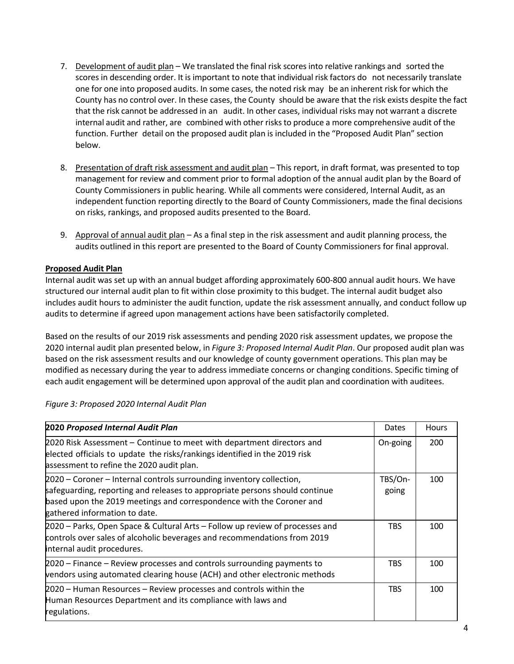- 7. Development of audit plan We translated the final risk scores into relative rankings and sorted the scores in descending order. It is important to note that individual risk factors do not necessarily translate one for one into proposed audits. In some cases, the noted risk may be an inherent risk for which the County has no control over. In these cases, the County should be aware that the risk exists despite the fact that the risk cannot be addressed in an audit. In other cases, individual risks may not warrant a discrete internal audit and rather, are combined with other risks to produce a more comprehensive audit of the function. Further detail on the proposed audit plan is included in the "Proposed Audit Plan" section below.
- 8. Presentation of draft risk assessment and audit plan This report, in draft format, was presented to top management for review and comment prior to formal adoption of the annual audit plan by the Board of County Commissioners in public hearing. While all comments were considered, Internal Audit, as an independent function reporting directly to the Board of County Commissioners, made the final decisions on risks, rankings, and proposed audits presented to the Board.
- 9. Approval of annual audit plan As a final step in the risk assessment and audit planning process, the audits outlined in this report are presented to the Board of County Commissioners for final approval.

## **Proposed Audit Plan**

Internal audit was set up with an annual budget affording approximately 600‐800 annual audit hours. We have structured our internal audit plan to fit within close proximity to this budget. The internal audit budget also includes audit hours to administer the audit function, update the risk assessment annually, and conduct follow up audits to determine if agreed upon management actions have been satisfactorily completed.

Based on the results of our 2019 risk assessments and pending 2020 risk assessment updates, we propose the 2020 internal audit plan presented below, in *Figure 3: Proposed Internal Audit Plan*. Our proposed audit plan was based on the risk assessment results and our knowledge of county government operations. This plan may be modified as necessary during the year to address immediate concerns or changing conditions. Specific timing of each audit engagement will be determined upon approval of the audit plan and coordination with auditees.

| <b>2020 Proposed Internal Audit Plan</b>                                                                                                                                                                                                                     | Dates            | <b>Hours</b> |
|--------------------------------------------------------------------------------------------------------------------------------------------------------------------------------------------------------------------------------------------------------------|------------------|--------------|
| 2020 Risk Assessment – Continue to meet with department directors and<br>elected officials to update the risks/rankings identified in the 2019 risk<br>assessment to refine the 2020 audit plan.                                                             | On-going         | 200          |
| 2020 – Coroner – Internal controls surrounding inventory collection,<br>safeguarding, reporting and releases to appropriate persons should continue<br>based upon the 2019 meetings and correspondence with the Coroner and<br>gathered information to date. | TBS/On-<br>going | 100          |
| 2020 – Parks, Open Space & Cultural Arts – Follow up review of processes and<br>controls over sales of alcoholic beverages and recommendations from 2019<br>internal audit procedures.                                                                       | <b>TBS</b>       | 100          |
| 2020 – Finance – Review processes and controls surrounding payments to<br>vendors using automated clearing house (ACH) and other electronic methods                                                                                                          | <b>TBS</b>       | 100          |
| 2020 - Human Resources - Review processes and controls within the<br>Human Resources Department and its compliance with laws and<br>regulations.                                                                                                             | <b>TBS</b>       | 100          |

*Figure 3: Proposed 2020 Internal Audit Plan*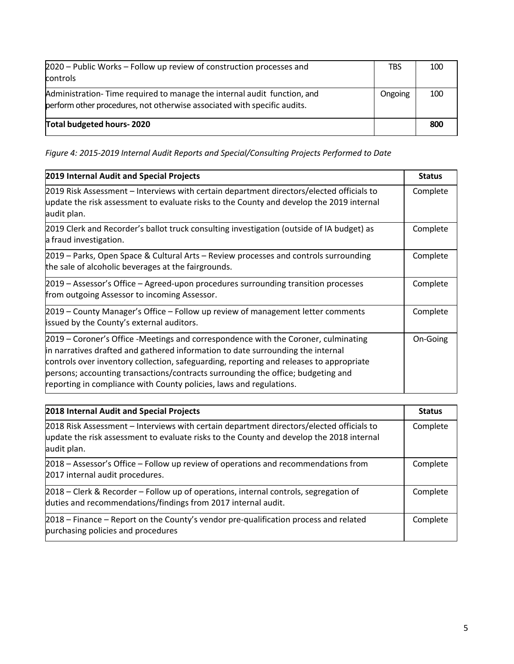| Total budgeted hours-2020                                                                                                                           |            | 800 |
|-----------------------------------------------------------------------------------------------------------------------------------------------------|------------|-----|
| Administration-Time required to manage the internal audit function, and<br>perform other procedures, not otherwise associated with specific audits. | Ongoing    | 100 |
| 2020 – Public Works – Follow up review of construction processes and<br><b>controls</b>                                                             | <b>TBS</b> | 100 |

*Figure 4: 2015‐2019 Internal Audit Reports and Special/Consulting Projects Performed to Date* 

| 2019 Internal Audit and Special Projects                                                                                                                                                                                                                                                                                                                                                                                    | <b>Status</b> |
|-----------------------------------------------------------------------------------------------------------------------------------------------------------------------------------------------------------------------------------------------------------------------------------------------------------------------------------------------------------------------------------------------------------------------------|---------------|
| 2019 Risk Assessment – Interviews with certain department directors/elected officials to<br>update the risk assessment to evaluate risks to the County and develop the 2019 internal<br>audit plan.                                                                                                                                                                                                                         | Complete      |
| 2019 Clerk and Recorder's ballot truck consulting investigation (outside of IA budget) as<br>a fraud investigation.                                                                                                                                                                                                                                                                                                         | Complete      |
| 2019 – Parks, Open Space & Cultural Arts – Review processes and controls surrounding<br>the sale of alcoholic beverages at the fairgrounds.                                                                                                                                                                                                                                                                                 | Complete      |
| 2019 – Assessor's Office – Agreed-upon procedures surrounding transition processes<br>from outgoing Assessor to incoming Assessor.                                                                                                                                                                                                                                                                                          | Complete      |
| 2019 – County Manager's Office – Follow up review of management letter comments<br>issued by the County's external auditors.                                                                                                                                                                                                                                                                                                | Complete      |
| 2019 – Coroner's Office -Meetings and correspondence with the Coroner, culminating<br>in narratives drafted and gathered information to date surrounding the internal<br>controls over inventory collection, safeguarding, reporting and releases to appropriate<br>persons; accounting transactions/contracts surrounding the office; budgeting and<br>reporting in compliance with County policies, laws and regulations. | On-Going      |

| 2018 Internal Audit and Special Projects                                                                                                                                                            | <b>Status</b> |
|-----------------------------------------------------------------------------------------------------------------------------------------------------------------------------------------------------|---------------|
| 2018 Risk Assessment - Interviews with certain department directors/elected officials to<br>update the risk assessment to evaluate risks to the County and develop the 2018 internal<br>audit plan. | Complete      |
| 2018 - Assessor's Office - Follow up review of operations and recommendations from<br>2017 internal audit procedures.                                                                               | Complete      |
| 2018 – Clerk & Recorder – Follow up of operations, internal controls, segregation of<br>duties and recommendations/findings from 2017 internal audit.                                               | Complete      |
| 2018 - Finance - Report on the County's vendor pre-qualification process and related<br>purchasing policies and procedures                                                                          | Complete      |